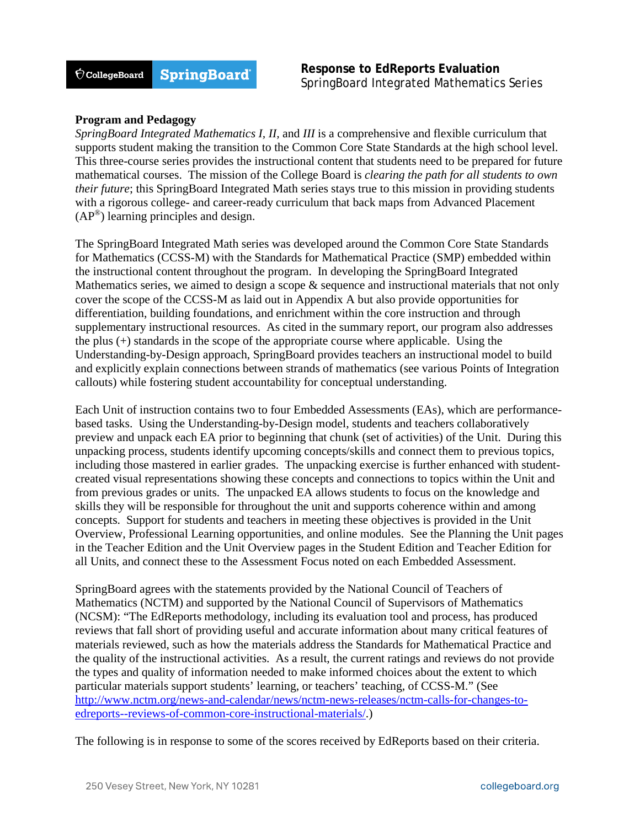## **Program and Pedagogy**

*SpringBoard Integrated Mathematics I, II,* and *III* is a comprehensive and flexible curriculum that supports student making the transition to the Common Core State Standards at the high school level. This three-course series provides the instructional content that students need to be prepared for future mathematical courses. The mission of the College Board is *clearing the path for all students to own their future*; this SpringBoard Integrated Math series stays true to this mission in providing students with a rigorous college- and career-ready curriculum that back maps from Advanced Placement  $(AP^{\circledR})$  learning principles and design.

The SpringBoard Integrated Math series was developed around the Common Core State Standards for Mathematics (CCSS-M) with the Standards for Mathematical Practice (SMP) embedded within the instructional content throughout the program. In developing the SpringBoard Integrated Mathematics series, we aimed to design a scope  $\&$  sequence and instructional materials that not only cover the scope of the CCSS-M as laid out in Appendix A but also provide opportunities for differentiation, building foundations, and enrichment within the core instruction and through supplementary instructional resources. As cited in the summary report, our program also addresses the plus (+) standards in the scope of the appropriate course where applicable. Using the Understanding-by-Design approach, SpringBoard provides teachers an instructional model to build and explicitly explain connections between strands of mathematics (see various Points of Integration callouts) while fostering student accountability for conceptual understanding.

Each Unit of instruction contains two to four Embedded Assessments (EAs), which are performancebased tasks. Using the Understanding-by-Design model, students and teachers collaboratively preview and unpack each EA prior to beginning that chunk (set of activities) of the Unit. During this unpacking process, students identify upcoming concepts/skills and connect them to previous topics, including those mastered in earlier grades. The unpacking exercise is further enhanced with studentcreated visual representations showing these concepts and connections to topics within the Unit and from previous grades or units. The unpacked EA allows students to focus on the knowledge and skills they will be responsible for throughout the unit and supports coherence within and among concepts. Support for students and teachers in meeting these objectives is provided in the Unit Overview, Professional Learning opportunities, and online modules. See the Planning the Unit pages in the Teacher Edition and the Unit Overview pages in the Student Edition and Teacher Edition for all Units, and connect these to the Assessment Focus noted on each Embedded Assessment.

SpringBoard agrees with the statements provided by the National Council of Teachers of Mathematics (NCTM) and supported by the National Council of Supervisors of Mathematics (NCSM): "The EdReports methodology, including its evaluation tool and process, has produced reviews that fall short of providing useful and accurate information about many critical features of materials reviewed, such as how the materials address the Standards for Mathematical Practice and the quality of the instructional activities. As a result, the current ratings and reviews do not provide the types and quality of information needed to make informed choices about the extent to which particular materials support students' learning, or teachers' teaching, of CCSS-M." (See [http://www.nctm.org/news-and-calendar/news/nctm-news-releases/nctm-calls-for-changes-to](http://www.nctm.org/news-and-calendar/news/nctm-news-releases/nctm-calls-for-changes-to-edreports--reviews-of-common-core-instructional-materials/)[edreports--reviews-of-common-core-instructional-materials/.](http://www.nctm.org/news-and-calendar/news/nctm-news-releases/nctm-calls-for-changes-to-edreports--reviews-of-common-core-instructional-materials/))

The following is in response to some of the scores received by EdReports based on their criteria.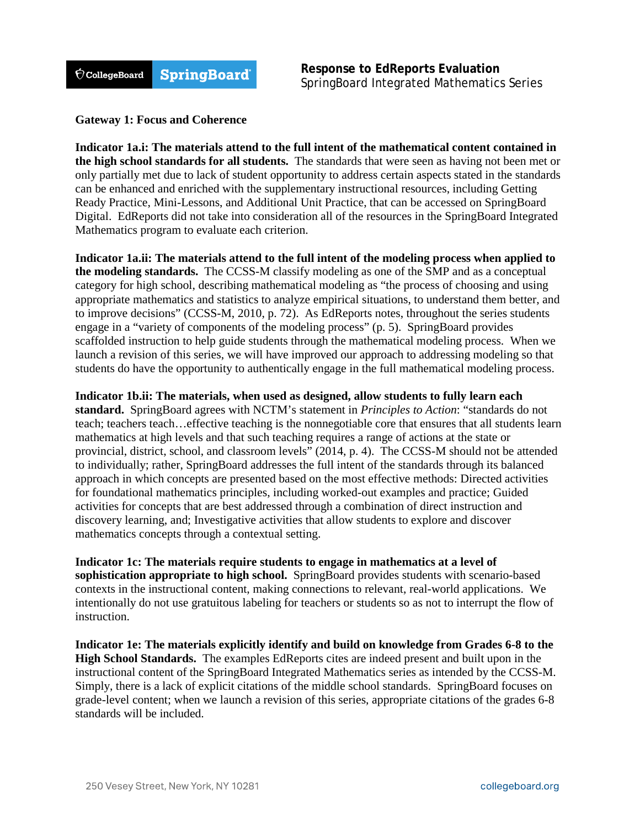

## **Gateway 1: Focus and Coherence**

**Indicator 1a.i: The materials attend to the full intent of the mathematical content contained in the high school standards for all students.** The standards that were seen as having not been met or only partially met due to lack of student opportunity to address certain aspects stated in the standards can be enhanced and enriched with the supplementary instructional resources, including Getting Ready Practice, Mini-Lessons, and Additional Unit Practice, that can be accessed on SpringBoard Digital. EdReports did not take into consideration all of the resources in the SpringBoard Integrated Mathematics program to evaluate each criterion.

**Indicator 1a.ii: The materials attend to the full intent of the modeling process when applied to the modeling standards.** The CCSS-M classify modeling as one of the SMP and as a conceptual category for high school, describing mathematical modeling as "the process of choosing and using appropriate mathematics and statistics to analyze empirical situations, to understand them better, and to improve decisions" (CCSS-M, 2010, p. 72). As EdReports notes, throughout the series students engage in a "variety of components of the modeling process" (p. 5). SpringBoard provides scaffolded instruction to help guide students through the mathematical modeling process. When we launch a revision of this series, we will have improved our approach to addressing modeling so that students do have the opportunity to authentically engage in the full mathematical modeling process.

**Indicator 1b.ii: The materials, when used as designed, allow students to fully learn each standard.** SpringBoard agrees with NCTM's statement in *Principles to Action*: "standards do not teach; teachers teach…effective teaching is the nonnegotiable core that ensures that all students learn mathematics at high levels and that such teaching requires a range of actions at the state or provincial, district, school, and classroom levels" (2014, p. 4). The CCSS-M should not be attended to individually; rather, SpringBoard addresses the full intent of the standards through its balanced approach in which concepts are presented based on the most effective methods: Directed activities for foundational mathematics principles, including worked-out examples and practice; Guided activities for concepts that are best addressed through a combination of direct instruction and discovery learning, and; Investigative activities that allow students to explore and discover mathematics concepts through a contextual setting.

**Indicator 1c: The materials require students to engage in mathematics at a level of sophistication appropriate to high school.** SpringBoard provides students with scenario-based contexts in the instructional content, making connections to relevant, real-world applications. We intentionally do not use gratuitous labeling for teachers or students so as not to interrupt the flow of instruction.

**Indicator 1e: The materials explicitly identify and build on knowledge from Grades 6-8 to the High School Standards.** The examples EdReports cites are indeed present and built upon in the instructional content of the SpringBoard Integrated Mathematics series as intended by the CCSS-M. Simply, there is a lack of explicit citations of the middle school standards. SpringBoard focuses on grade-level content; when we launch a revision of this series, appropriate citations of the grades 6-8 standards will be included.